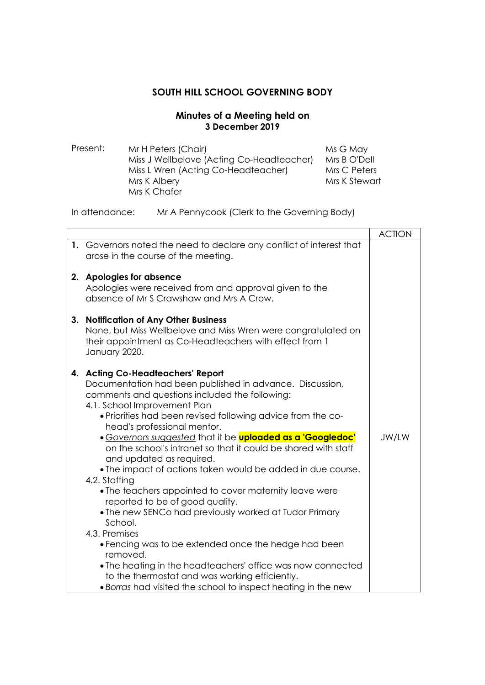## **SOUTH HILL SCHOOL GOVERNING BODY**

## **Minutes of a Meeting held on 3 December 2019**

Present: Mr H Peters (Chair) Miss J Wellbelove (Acting Co-Headteacher) Miss L Wren (Acting Co-Headteacher) Mrs K Albery Mrs K Chafer Ms G May Mrs B O'Dell Mrs C Peters Mrs K Stewart

In attendance: Mr A Pennycook (Clerk to the Governing Body)

|                                                                                                                                                                                                                                                                                                                                                                                                                                                                                                                                                                                                                                                                                                                                                                                                                                                                                                                                                                           | <b>ACTION</b> |
|---------------------------------------------------------------------------------------------------------------------------------------------------------------------------------------------------------------------------------------------------------------------------------------------------------------------------------------------------------------------------------------------------------------------------------------------------------------------------------------------------------------------------------------------------------------------------------------------------------------------------------------------------------------------------------------------------------------------------------------------------------------------------------------------------------------------------------------------------------------------------------------------------------------------------------------------------------------------------|---------------|
| 1. Governors noted the need to declare any conflict of interest that<br>arose in the course of the meeting.                                                                                                                                                                                                                                                                                                                                                                                                                                                                                                                                                                                                                                                                                                                                                                                                                                                               |               |
| 2. Apologies for absence<br>Apologies were received from and approval given to the<br>absence of Mr S Crawshaw and Mrs A Crow.                                                                                                                                                                                                                                                                                                                                                                                                                                                                                                                                                                                                                                                                                                                                                                                                                                            |               |
| 3. Notification of Any Other Business<br>None, but Miss Wellbelove and Miss Wren were congratulated on<br>their appointment as Co-Headteachers with effect from 1<br>January 2020.                                                                                                                                                                                                                                                                                                                                                                                                                                                                                                                                                                                                                                                                                                                                                                                        |               |
| 4. Acting Co-Headteachers' Report<br>Documentation had been published in advance. Discussion,<br>comments and questions included the following:<br>4.1. School Improvement Plan<br>• Priorities had been revised following advice from the co-<br>head's professional mentor.<br>• Governors suggested that it be <b>uploaded as a 'Googledoc'</b><br>on the school's intranet so that it could be shared with staff<br>and updated as required.<br>• The impact of actions taken would be added in due course.<br>4.2. Staffing<br>• The teachers appointed to cover maternity leave were<br>reported to be of good quality.<br>• The new SENCo had previously worked at Tudor Primary<br>School.<br>4.3. Premises<br>• Fencing was to be extended once the hedge had been<br>removed.<br>• The heating in the headteachers' office was now connected<br>to the thermostat and was working efficiently.<br>• Borras had visited the school to inspect heating in the new | JW/LW         |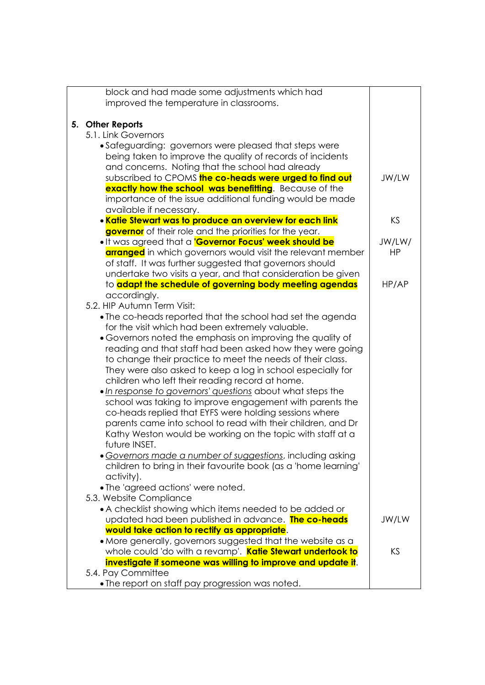| block and had made some adjustments which had                                                                  |           |
|----------------------------------------------------------------------------------------------------------------|-----------|
| improved the temperature in classrooms.                                                                        |           |
|                                                                                                                |           |
| 5. Other Reports                                                                                               |           |
| 5.1. Link Governors                                                                                            |           |
| • Safeguarding: governors were pleased that steps were                                                         |           |
| being taken to improve the quality of records of incidents                                                     |           |
| and concerns. Noting that the school had already<br>subscribed to CPOMS the co-heads were urged to find out    | JW/LW     |
| exactly how the school was benefitting. Because of the                                                         |           |
| importance of the issue additional funding would be made                                                       |           |
| available if necessary.                                                                                        |           |
| . Katie Stewart was to produce an overview for each link                                                       | KS        |
| governor of their role and the priorities for the year.                                                        |           |
| . It was agreed that a <b>'Governor Focus' week should be</b>                                                  | JW/LW/    |
| <b>arranged</b> in which governors would visit the relevant member                                             | <b>HP</b> |
| of staff. It was further suggested that governors should                                                       |           |
| undertake two visits a year, and that consideration be given                                                   |           |
| to adapt the schedule of governing body meeting agendas                                                        | HP/AP     |
| accordingly.                                                                                                   |           |
| 5.2. HIP Autumn Term Visit:                                                                                    |           |
| • The co-heads reported that the school had set the agenda                                                     |           |
| for the visit which had been extremely valuable.<br>• Governors noted the emphasis on improving the quality of |           |
| reading and that staff had been asked how they were going                                                      |           |
| to change their practice to meet the needs of their class.                                                     |           |
| They were also asked to keep a log in school especially for                                                    |           |
| children who left their reading record at home.                                                                |           |
| . In response to governors' questions about what steps the                                                     |           |
| school was taking to improve engagement with parents the                                                       |           |
| co-heads replied that EYFS were holding sessions where                                                         |           |
| parents came into school to read with their children, and Dr                                                   |           |
| Kathy Weston would be working on the topic with staff at a                                                     |           |
| future INSET.                                                                                                  |           |
| · Governors made a number of suggestions, including asking                                                     |           |
| children to bring in their favourite book (as a 'home learning'                                                |           |
| activity).                                                                                                     |           |
| • The 'agreed actions' were noted.                                                                             |           |
| 5.3. Website Compliance                                                                                        |           |
| • A checklist showing which items needed to be added or                                                        | JW/LW     |
| updated had been published in advance. <b>The co-heads</b><br>would take action to rectify as appropriate.     |           |
| • More generally, governors suggested that the website as a                                                    |           |
| whole could 'do with a revamp'. Katie Stewart undertook to                                                     | KS        |
| investigate if someone was willing to improve and update it.                                                   |           |
| 5.4. Pay Committee                                                                                             |           |
| . The report on staff pay progression was noted.                                                               |           |